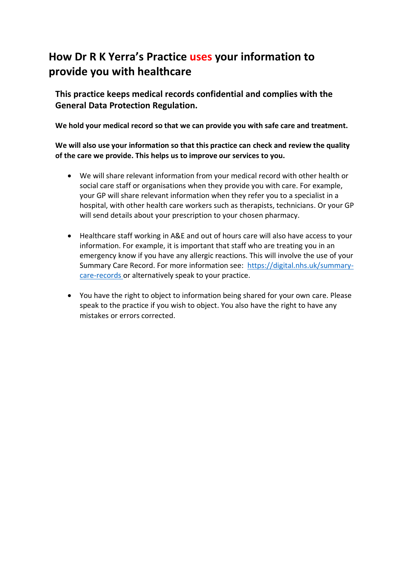# **How Dr R K Yerra's Practice uses your information to provide you with healthcare**

**This practice keeps medical records confidential and complies with the General Data Protection Regulation.**

**We hold your medical record so that we can provide you with safe care and treatment.** 

#### **We will also use your information so that this practice can check and review the quality of the care we provide. This helps us to improve our services to you.**

- We will share relevant information from your medical record with other health or social care staff or organisations when they provide you with care. For example, your GP will share relevant information when they refer you to a specialist in a hospital, with other health care workers such as therapists, technicians. Or your GP will send details about your prescription to your chosen pharmacy.
- Healthcare staff working in A&E and out of hours care will also have access to your information. For example, it is important that staff who are treating you in an emergency know if you have any allergic reactions. This will involve the use of your Summary Care Record. For more information see: [https://digital.nhs.uk/summary](https://digital.nhs.uk/summary-care-records)[care-records](https://digital.nhs.uk/summary-care-records) or alternatively speak to your practice.
- You have the right to object to information being shared for your own care. Please speak to the practice if you wish to object. You also have the right to have any mistakes or errors corrected.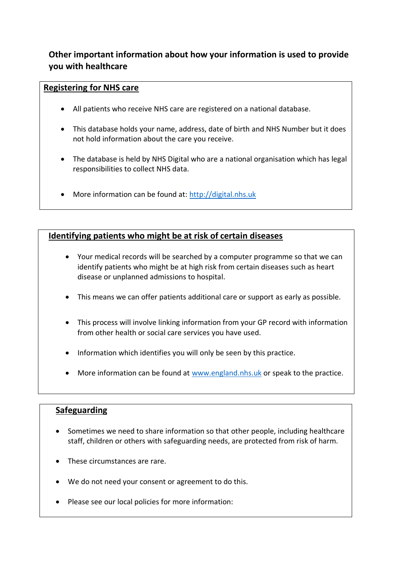## **Other important information about how your information is used to provide you with healthcare**

#### **Registering for NHS care**

- All patients who receive NHS care are registered on a national database.
- This database holds your name, address, date of birth and NHS Number but it does not hold information about the care you receive.
- The database is held by NHS Digital who are a national organisation which has legal responsibilities to collect NHS data.
- More information can be found at: [http://digital.nhs.uk](http://digital.nhs.uk/)

### **Identifying patients who might be at risk of certain diseases**

- Your medical records will be searched by a computer programme so that we can identify patients who might be at high risk from certain diseases such as heart disease or unplanned admissions to hospital.
- This means we can offer patients additional care or support as early as possible.
- This process will involve linking information from your GP record with information from other health or social care services you have used.
- Information which identifies you will only be seen by this practice.
- More information can be found at [www.england.nhs.uk](http://www.england.nhs.uk/) or speak to the practice.

#### **Safeguarding**

- Sometimes we need to share information so that other people, including healthcare staff, children or others with safeguarding needs, are protected from risk of harm.
- These circumstances are rare.
- We do not need your consent or agreement to do this.
- Please see our local policies for more information: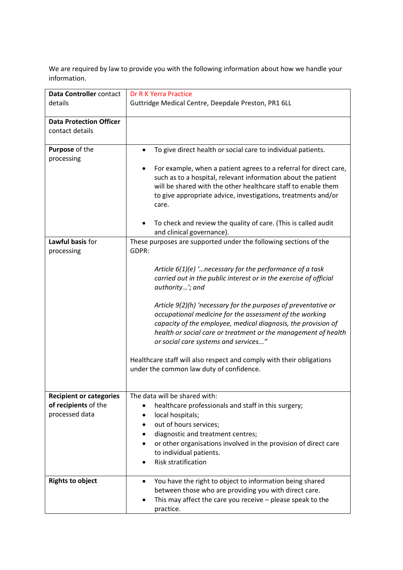We are required by law to provide you with the following information about how we handle your information.

| Data Controller contact<br>details                | Dr R K Yerra Practice<br>Guttridge Medical Centre, Deepdale Preston, PR1 6LL                                                                                                                                                                                                                                                                                                                                                                                                                                                                                                    |
|---------------------------------------------------|---------------------------------------------------------------------------------------------------------------------------------------------------------------------------------------------------------------------------------------------------------------------------------------------------------------------------------------------------------------------------------------------------------------------------------------------------------------------------------------------------------------------------------------------------------------------------------|
| <b>Data Protection Officer</b><br>contact details |                                                                                                                                                                                                                                                                                                                                                                                                                                                                                                                                                                                 |
|                                                   |                                                                                                                                                                                                                                                                                                                                                                                                                                                                                                                                                                                 |
| Purpose of the                                    | To give direct health or social care to individual patients.                                                                                                                                                                                                                                                                                                                                                                                                                                                                                                                    |
| processing                                        | For example, when a patient agrees to a referral for direct care,<br>such as to a hospital, relevant information about the patient<br>will be shared with the other healthcare staff to enable them<br>to give appropriate advice, investigations, treatments and/or<br>care.                                                                                                                                                                                                                                                                                                   |
|                                                   | To check and review the quality of care. (This is called audit<br>and clinical governance).                                                                                                                                                                                                                                                                                                                                                                                                                                                                                     |
| Lawful basis for                                  | These purposes are supported under the following sections of the                                                                                                                                                                                                                                                                                                                                                                                                                                                                                                                |
| processing                                        | GDPR:                                                                                                                                                                                                                                                                                                                                                                                                                                                                                                                                                                           |
|                                                   | Article $6(1)(e)$ ' necessary for the performance of a task<br>carried out in the public interest or in the exercise of official<br>authority'; and<br>Article 9(2)(h) 'necessary for the purposes of preventative or<br>occupational medicine for the assessment of the working<br>capacity of the employee, medical diagnosis, the provision of<br>health or social care or treatment or the management of health<br>or social care systems and services"<br>Healthcare staff will also respect and comply with their obligations<br>under the common law duty of confidence. |
| <b>Recipient or categories</b>                    | The data will be shared with:                                                                                                                                                                                                                                                                                                                                                                                                                                                                                                                                                   |
| of recipients of the                              | healthcare professionals and staff in this surgery;                                                                                                                                                                                                                                                                                                                                                                                                                                                                                                                             |
| processed data                                    | local hospitals;<br>out of hours services;                                                                                                                                                                                                                                                                                                                                                                                                                                                                                                                                      |
|                                                   | diagnostic and treatment centres;                                                                                                                                                                                                                                                                                                                                                                                                                                                                                                                                               |
|                                                   | or other organisations involved in the provision of direct care<br>٠<br>to individual patients.<br>Risk stratification                                                                                                                                                                                                                                                                                                                                                                                                                                                          |
| <b>Rights to object</b>                           | You have the right to object to information being shared<br>$\bullet$<br>between those who are providing you with direct care.<br>This may affect the care you receive $-$ please speak to the<br>practice.                                                                                                                                                                                                                                                                                                                                                                     |